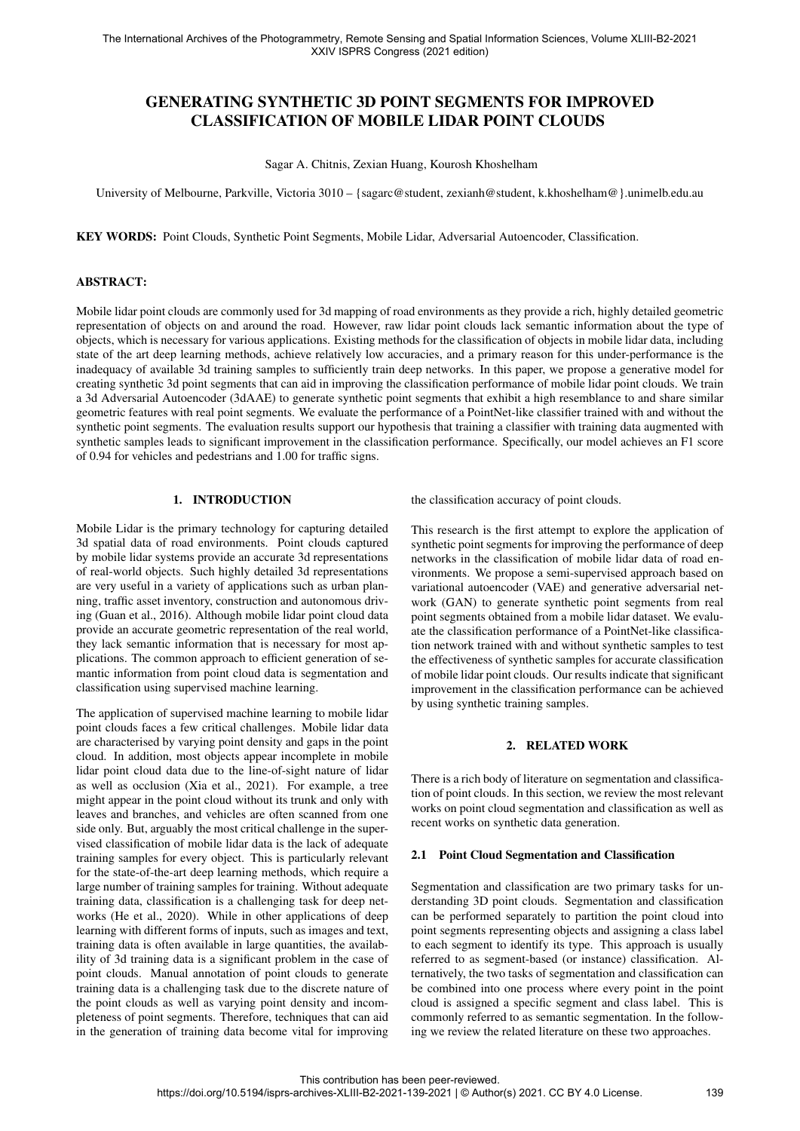# GENERATING SYNTHETIC 3D POINT SEGMENTS FOR IMPROVED CLASSIFICATION OF MOBILE LIDAR POINT CLOUDS

Sagar A. Chitnis, Zexian Huang, Kourosh Khoshelham

University of Melbourne, Parkville, Victoria 3010 – {sagarc@student, zexianh@student, k.khoshelham@}.unimelb.edu.au

KEY WORDS: Point Clouds, Synthetic Point Segments, Mobile Lidar, Adversarial Autoencoder, Classification.

#### ABSTRACT:

Mobile lidar point clouds are commonly used for 3d mapping of road environments as they provide a rich, highly detailed geometric representation of objects on and around the road. However, raw lidar point clouds lack semantic information about the type of objects, which is necessary for various applications. Existing methods for the classification of objects in mobile lidar data, including state of the art deep learning methods, achieve relatively low accuracies, and a primary reason for this under-performance is the inadequacy of available 3d training samples to sufficiently train deep networks. In this paper, we propose a generative model for creating synthetic 3d point segments that can aid in improving the classification performance of mobile lidar point clouds. We train a 3d Adversarial Autoencoder (3dAAE) to generate synthetic point segments that exhibit a high resemblance to and share similar geometric features with real point segments. We evaluate the performance of a PointNet-like classifier trained with and without the synthetic point segments. The evaluation results support our hypothesis that training a classifier with training data augmented with synthetic samples leads to significant improvement in the classification performance. Specifically, our model achieves an F1 score of 0.94 for vehicles and pedestrians and 1.00 for traffic signs.

## 1. INTRODUCTION

Mobile Lidar is the primary technology for capturing detailed 3d spatial data of road environments. Point clouds captured by mobile lidar systems provide an accurate 3d representations of real-world objects. Such highly detailed 3d representations are very useful in a variety of applications such as urban planning, traffic asset inventory, construction and autonomous driving (Guan et al., 2016). Although mobile lidar point cloud data provide an accurate geometric representation of the real world, they lack semantic information that is necessary for most applications. The common approach to efficient generation of semantic information from point cloud data is segmentation and classification using supervised machine learning.

The application of supervised machine learning to mobile lidar point clouds faces a few critical challenges. Mobile lidar data are characterised by varying point density and gaps in the point cloud. In addition, most objects appear incomplete in mobile lidar point cloud data due to the line-of-sight nature of lidar as well as occlusion (Xia et al., 2021). For example, a tree might appear in the point cloud without its trunk and only with leaves and branches, and vehicles are often scanned from one side only. But, arguably the most critical challenge in the supervised classification of mobile lidar data is the lack of adequate training samples for every object. This is particularly relevant for the state-of-the-art deep learning methods, which require a large number of training samples for training. Without adequate training data, classification is a challenging task for deep networks (He et al., 2020). While in other applications of deep learning with different forms of inputs, such as images and text, training data is often available in large quantities, the availability of 3d training data is a significant problem in the case of point clouds. Manual annotation of point clouds to generate training data is a challenging task due to the discrete nature of the point clouds as well as varying point density and incompleteness of point segments. Therefore, techniques that can aid in the generation of training data become vital for improving the classification accuracy of point clouds.

This research is the first attempt to explore the application of synthetic point segments for improving the performance of deep networks in the classification of mobile lidar data of road environments. We propose a semi-supervised approach based on variational autoencoder (VAE) and generative adversarial network (GAN) to generate synthetic point segments from real point segments obtained from a mobile lidar dataset. We evaluate the classification performance of a PointNet-like classification network trained with and without synthetic samples to test the effectiveness of synthetic samples for accurate classification of mobile lidar point clouds. Our results indicate that significant improvement in the classification performance can be achieved by using synthetic training samples.

#### 2. RELATED WORK

There is a rich body of literature on segmentation and classification of point clouds. In this section, we review the most relevant works on point cloud segmentation and classification as well as recent works on synthetic data generation.

#### 2.1 Point Cloud Segmentation and Classification

Segmentation and classification are two primary tasks for understanding 3D point clouds. Segmentation and classification can be performed separately to partition the point cloud into point segments representing objects and assigning a class label to each segment to identify its type. This approach is usually referred to as segment-based (or instance) classification. Alternatively, the two tasks of segmentation and classification can be combined into one process where every point in the point cloud is assigned a specific segment and class label. This is commonly referred to as semantic segmentation. In the following we review the related literature on these two approaches.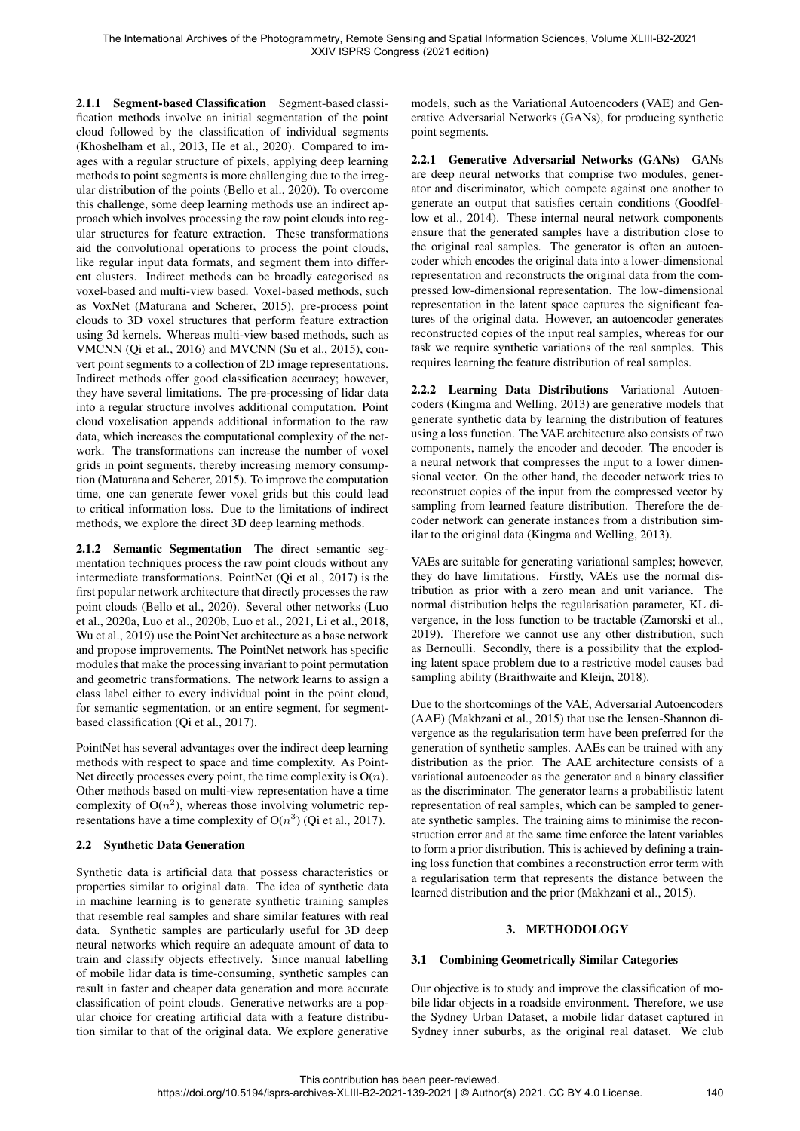2.1.1 Segment-based Classification Segment-based classification methods involve an initial segmentation of the point cloud followed by the classification of individual segments (Khoshelham et al., 2013, He et al., 2020). Compared to images with a regular structure of pixels, applying deep learning methods to point segments is more challenging due to the irregular distribution of the points (Bello et al., 2020). To overcome this challenge, some deep learning methods use an indirect approach which involves processing the raw point clouds into regular structures for feature extraction. These transformations aid the convolutional operations to process the point clouds, like regular input data formats, and segment them into different clusters. Indirect methods can be broadly categorised as voxel-based and multi-view based. Voxel-based methods, such as VoxNet (Maturana and Scherer, 2015), pre-process point clouds to 3D voxel structures that perform feature extraction using 3d kernels. Whereas multi-view based methods, such as VMCNN (Qi et al., 2016) and MVCNN (Su et al., 2015), convert point segments to a collection of 2D image representations. Indirect methods offer good classification accuracy; however, they have several limitations. The pre-processing of lidar data into a regular structure involves additional computation. Point cloud voxelisation appends additional information to the raw data, which increases the computational complexity of the network. The transformations can increase the number of voxel grids in point segments, thereby increasing memory consumption (Maturana and Scherer, 2015). To improve the computation time, one can generate fewer voxel grids but this could lead to critical information loss. Due to the limitations of indirect methods, we explore the direct 3D deep learning methods.

2.1.2 Semantic Segmentation The direct semantic segmentation techniques process the raw point clouds without any intermediate transformations. PointNet (Qi et al., 2017) is the first popular network architecture that directly processes the raw point clouds (Bello et al., 2020). Several other networks (Luo et al., 2020a, Luo et al., 2020b, Luo et al., 2021, Li et al., 2018, Wu et al., 2019) use the PointNet architecture as a base network and propose improvements. The PointNet network has specific modules that make the processing invariant to point permutation and geometric transformations. The network learns to assign a class label either to every individual point in the point cloud, for semantic segmentation, or an entire segment, for segmentbased classification (Qi et al., 2017).

PointNet has several advantages over the indirect deep learning methods with respect to space and time complexity. As Point-Net directly processes every point, the time complexity is  $O(n)$ . Other methods based on multi-view representation have a time complexity of  $O(n^2)$ , whereas those involving volumetric representations have a time complexity of  $O(n^3)$  (Qi et al., 2017).

## 2.2 Synthetic Data Generation

Synthetic data is artificial data that possess characteristics or properties similar to original data. The idea of synthetic data in machine learning is to generate synthetic training samples that resemble real samples and share similar features with real data. Synthetic samples are particularly useful for 3D deep neural networks which require an adequate amount of data to train and classify objects effectively. Since manual labelling of mobile lidar data is time-consuming, synthetic samples can result in faster and cheaper data generation and more accurate classification of point clouds. Generative networks are a popular choice for creating artificial data with a feature distribution similar to that of the original data. We explore generative models, such as the Variational Autoencoders (VAE) and Generative Adversarial Networks (GANs), for producing synthetic point segments.

2.2.1 Generative Adversarial Networks (GANs) GANs are deep neural networks that comprise two modules, generator and discriminator, which compete against one another to generate an output that satisfies certain conditions (Goodfellow et al., 2014). These internal neural network components ensure that the generated samples have a distribution close to the original real samples. The generator is often an autoencoder which encodes the original data into a lower-dimensional representation and reconstructs the original data from the compressed low-dimensional representation. The low-dimensional representation in the latent space captures the significant features of the original data. However, an autoencoder generates reconstructed copies of the input real samples, whereas for our task we require synthetic variations of the real samples. This requires learning the feature distribution of real samples.

2.2.2 Learning Data Distributions Variational Autoencoders (Kingma and Welling, 2013) are generative models that generate synthetic data by learning the distribution of features using a loss function. The VAE architecture also consists of two components, namely the encoder and decoder. The encoder is a neural network that compresses the input to a lower dimensional vector. On the other hand, the decoder network tries to reconstruct copies of the input from the compressed vector by sampling from learned feature distribution. Therefore the decoder network can generate instances from a distribution similar to the original data (Kingma and Welling, 2013).

VAEs are suitable for generating variational samples; however, they do have limitations. Firstly, VAEs use the normal distribution as prior with a zero mean and unit variance. The normal distribution helps the regularisation parameter, KL divergence, in the loss function to be tractable (Zamorski et al., 2019). Therefore we cannot use any other distribution, such as Bernoulli. Secondly, there is a possibility that the exploding latent space problem due to a restrictive model causes bad sampling ability (Braithwaite and Kleijn, 2018).

Due to the shortcomings of the VAE, Adversarial Autoencoders (AAE) (Makhzani et al., 2015) that use the Jensen-Shannon divergence as the regularisation term have been preferred for the generation of synthetic samples. AAEs can be trained with any distribution as the prior. The AAE architecture consists of a variational autoencoder as the generator and a binary classifier as the discriminator. The generator learns a probabilistic latent representation of real samples, which can be sampled to generate synthetic samples. The training aims to minimise the reconstruction error and at the same time enforce the latent variables to form a prior distribution. This is achieved by defining a training loss function that combines a reconstruction error term with a regularisation term that represents the distance between the learned distribution and the prior (Makhzani et al., 2015).

# 3. METHODOLOGY

# 3.1 Combining Geometrically Similar Categories

Our objective is to study and improve the classification of mobile lidar objects in a roadside environment. Therefore, we use the Sydney Urban Dataset, a mobile lidar dataset captured in Sydney inner suburbs, as the original real dataset. We club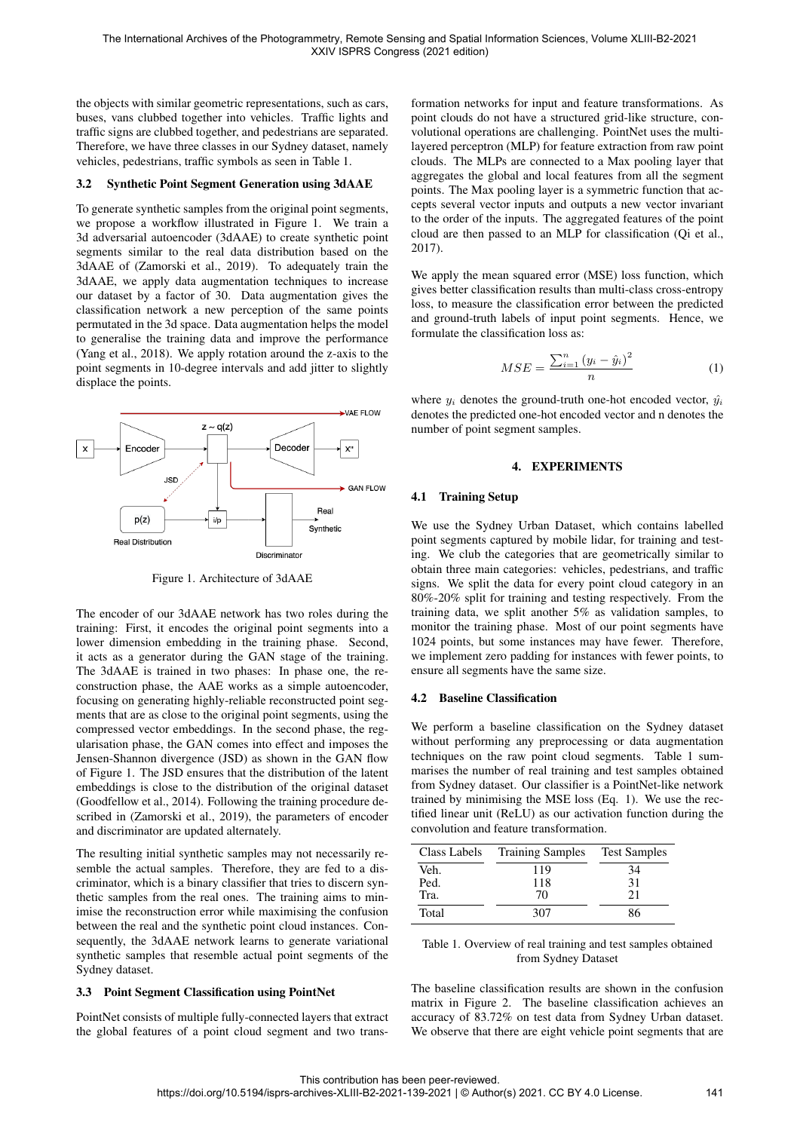the objects with similar geometric representations, such as cars, buses, vans clubbed together into vehicles. Traffic lights and traffic signs are clubbed together, and pedestrians are separated. Therefore, we have three classes in our Sydney dataset, namely vehicles, pedestrians, traffic symbols as seen in Table 1.

## 3.2 Synthetic Point Segment Generation using 3dAAE

To generate synthetic samples from the original point segments, we propose a workflow illustrated in Figure 1. We train a 3d adversarial autoencoder (3dAAE) to create synthetic point segments similar to the real data distribution based on the 3dAAE of (Zamorski et al., 2019). To adequately train the 3dAAE, we apply data augmentation techniques to increase our dataset by a factor of 30. Data augmentation gives the classification network a new perception of the same points permutated in the 3d space. Data augmentation helps the model to generalise the training data and improve the performance (Yang et al., 2018). We apply rotation around the z-axis to the point segments in 10-degree intervals and add jitter to slightly displace the points.



Figure 1. Architecture of 3dAAE

The encoder of our 3dAAE network has two roles during the training: First, it encodes the original point segments into a lower dimension embedding in the training phase. Second, it acts as a generator during the GAN stage of the training. The 3dAAE is trained in two phases: In phase one, the reconstruction phase, the AAE works as a simple autoencoder, focusing on generating highly-reliable reconstructed point segments that are as close to the original point segments, using the compressed vector embeddings. In the second phase, the regularisation phase, the GAN comes into effect and imposes the Jensen-Shannon divergence (JSD) as shown in the GAN flow of Figure 1. The JSD ensures that the distribution of the latent embeddings is close to the distribution of the original dataset (Goodfellow et al., 2014). Following the training procedure described in (Zamorski et al., 2019), the parameters of encoder and discriminator are updated alternately.

The resulting initial synthetic samples may not necessarily resemble the actual samples. Therefore, they are fed to a discriminator, which is a binary classifier that tries to discern synthetic samples from the real ones. The training aims to minimise the reconstruction error while maximising the confusion between the real and the synthetic point cloud instances. Consequently, the 3dAAE network learns to generate variational synthetic samples that resemble actual point segments of the Sydney dataset.

## 3.3 Point Segment Classification using PointNet

PointNet consists of multiple fully-connected layers that extract the global features of a point cloud segment and two transformation networks for input and feature transformations. As point clouds do not have a structured grid-like structure, convolutional operations are challenging. PointNet uses the multilayered perceptron (MLP) for feature extraction from raw point clouds. The MLPs are connected to a Max pooling layer that aggregates the global and local features from all the segment points. The Max pooling layer is a symmetric function that accepts several vector inputs and outputs a new vector invariant to the order of the inputs. The aggregated features of the point cloud are then passed to an MLP for classification (Qi et al., 2017).

We apply the mean squared error (MSE) loss function, which gives better classification results than multi-class cross-entropy loss, to measure the classification error between the predicted and ground-truth labels of input point segments. Hence, we formulate the classification loss as:

$$
MSE = \frac{\sum_{i=1}^{n} (y_i - \hat{y}_i)^2}{n}
$$
 (1)

where  $y_i$  denotes the ground-truth one-hot encoded vector,  $\hat{y_i}$ denotes the predicted one-hot encoded vector and n denotes the number of point segment samples.

## 4. EXPERIMENTS

## 4.1 Training Setup

We use the Sydney Urban Dataset, which contains labelled point segments captured by mobile lidar, for training and testing. We club the categories that are geometrically similar to obtain three main categories: vehicles, pedestrians, and traffic signs. We split the data for every point cloud category in an 80%-20% split for training and testing respectively. From the training data, we split another 5% as validation samples, to monitor the training phase. Most of our point segments have 1024 points, but some instances may have fewer. Therefore, we implement zero padding for instances with fewer points, to ensure all segments have the same size.

## 4.2 Baseline Classification

We perform a baseline classification on the Sydney dataset without performing any preprocessing or data augmentation techniques on the raw point cloud segments. Table 1 summarises the number of real training and test samples obtained from Sydney dataset. Our classifier is a PointNet-like network trained by minimising the MSE loss (Eq. 1). We use the rectified linear unit (ReLU) as our activation function during the convolution and feature transformation.

| Class Labels | <b>Training Samples</b> | <b>Test Samples</b> |  |
|--------------|-------------------------|---------------------|--|
| Veh.         | 119                     | 34                  |  |
| Ped.         | 118                     | 31                  |  |
| Tra.         | 70                      | 21                  |  |
| Total        | 307                     | 86                  |  |

## Table 1. Overview of real training and test samples obtained from Sydney Dataset

The baseline classification results are shown in the confusion matrix in Figure 2. The baseline classification achieves an accuracy of 83.72% on test data from Sydney Urban dataset. We observe that there are eight vehicle point segments that are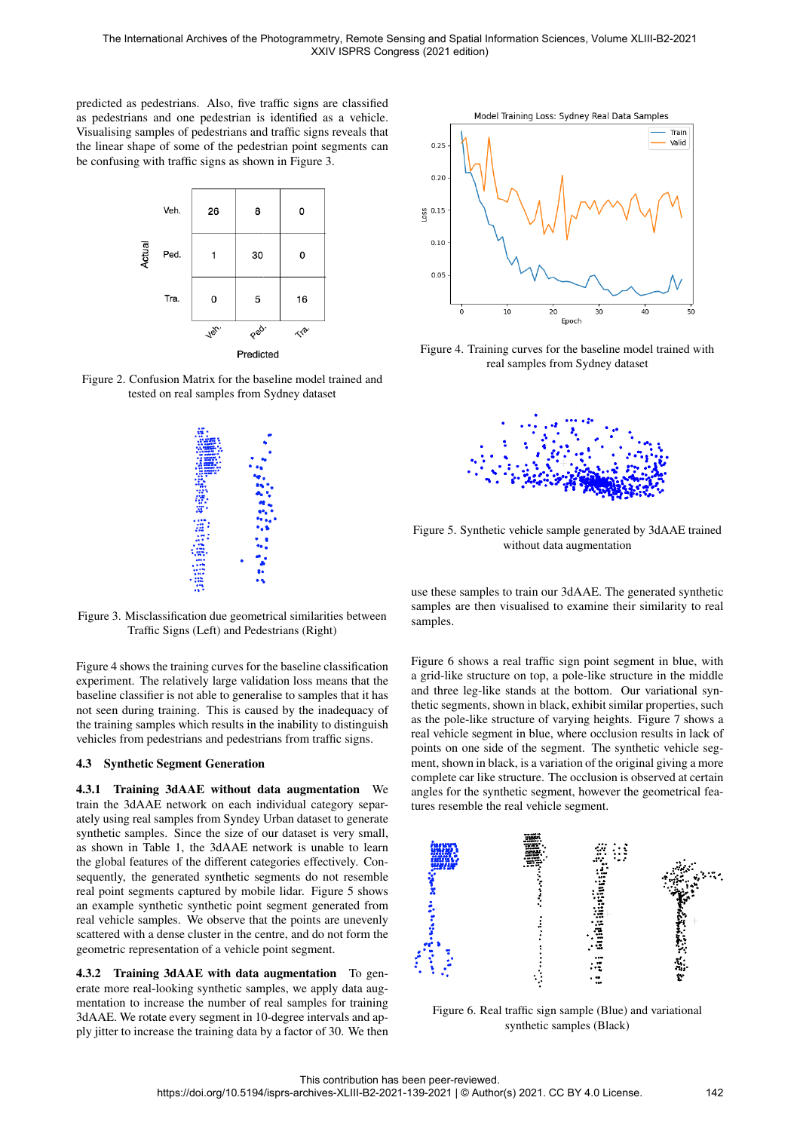predicted as pedestrians. Also, five traffic signs are classified as pedestrians and one pedestrian is identified as a vehicle. Visualising samples of pedestrians and traffic signs reveals that the linear shape of some of the pedestrian point segments can be confusing with traffic signs as shown in Figure 3.



Figure 2. Confusion Matrix for the baseline model trained and tested on real samples from Sydney dataset



Figure 3. Misclassification due geometrical similarities between Traffic Signs (Left) and Pedestrians (Right)

Figure 4 shows the training curves for the baseline classification experiment. The relatively large validation loss means that the baseline classifier is not able to generalise to samples that it has not seen during training. This is caused by the inadequacy of the training samples which results in the inability to distinguish vehicles from pedestrians and pedestrians from traffic signs.

#### 4.3 Synthetic Segment Generation

4.3.1 Training 3dAAE without data augmentation We train the 3dAAE network on each individual category separately using real samples from Syndey Urban dataset to generate synthetic samples. Since the size of our dataset is very small, as shown in Table 1, the 3dAAE network is unable to learn the global features of the different categories effectively. Consequently, the generated synthetic segments do not resemble real point segments captured by mobile lidar. Figure 5 shows an example synthetic synthetic point segment generated from real vehicle samples. We observe that the points are unevenly scattered with a dense cluster in the centre, and do not form the geometric representation of a vehicle point segment.

4.3.2 Training 3dAAE with data augmentation To generate more real-looking synthetic samples, we apply data augmentation to increase the number of real samples for training 3dAAE. We rotate every segment in 10-degree intervals and apply jitter to increase the training data by a factor of 30. We then



Figure 4. Training curves for the baseline model trained with real samples from Sydney dataset



Figure 5. Synthetic vehicle sample generated by 3dAAE trained without data augmentation

use these samples to train our 3dAAE. The generated synthetic samples are then visualised to examine their similarity to real samples.

Figure 6 shows a real traffic sign point segment in blue, with a grid-like structure on top, a pole-like structure in the middle and three leg-like stands at the bottom. Our variational synthetic segments, shown in black, exhibit similar properties, such as the pole-like structure of varying heights. Figure 7 shows a real vehicle segment in blue, where occlusion results in lack of points on one side of the segment. The synthetic vehicle segment, shown in black, is a variation of the original giving a more complete car like structure. The occlusion is observed at certain angles for the synthetic segment, however the geometrical features resemble the real vehicle segment.



Figure 6. Real traffic sign sample (Blue) and variational synthetic samples (Black)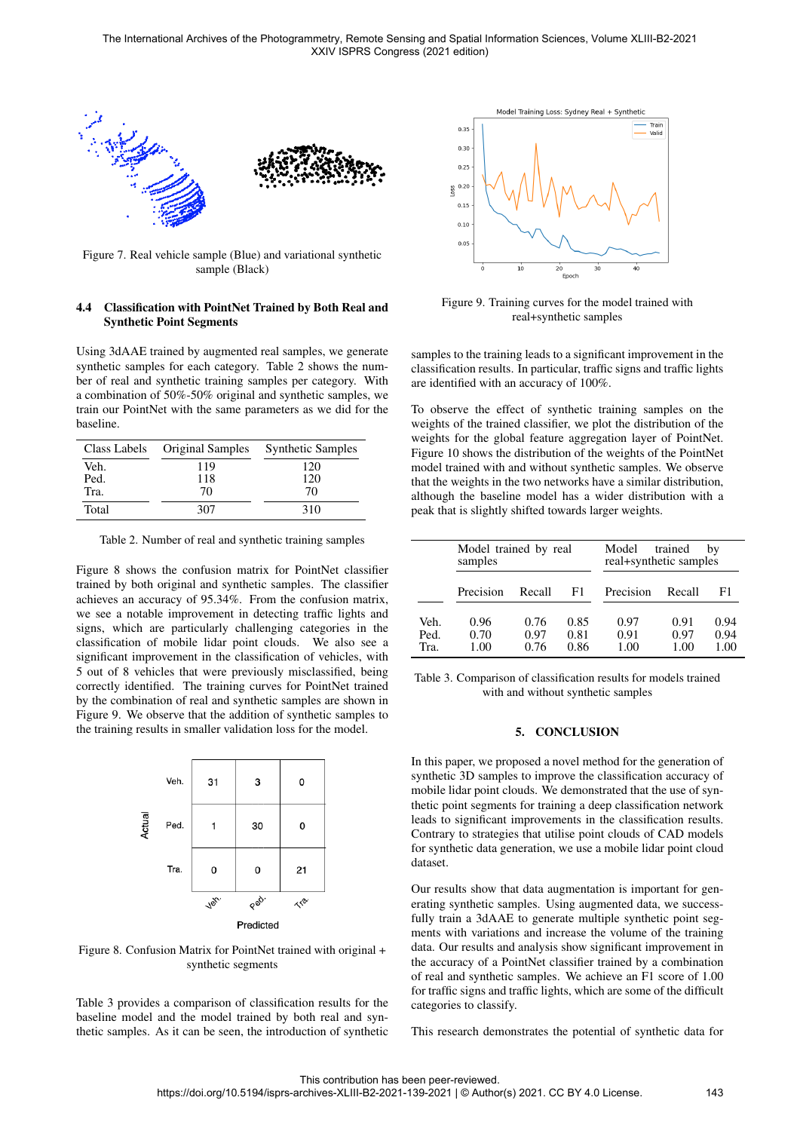

Figure 7. Real vehicle sample (Blue) and variational synthetic sample (Black)

#### 4.4 Classification with PointNet Trained by Both Real and Synthetic Point Segments

Using 3dAAE trained by augmented real samples, we generate synthetic samples for each category. Table 2 shows the number of real and synthetic training samples per category. With a combination of 50%-50% original and synthetic samples, we train our PointNet with the same parameters as we did for the baseline.

| Class Labels | Original Samples | <b>Synthetic Samples</b> |  |  |
|--------------|------------------|--------------------------|--|--|
| Veh.         | 119              | 120                      |  |  |
| Ped.         | 118              | 120                      |  |  |
| Tra.         | 70               | 70                       |  |  |
| Total        | 307              | 310                      |  |  |

Table 2. Number of real and synthetic training samples

Figure 8 shows the confusion matrix for PointNet classifier trained by both original and synthetic samples. The classifier achieves an accuracy of 95.34%. From the confusion matrix, we see a notable improvement in detecting traffic lights and signs, which are particularly challenging categories in the classification of mobile lidar point clouds. We also see a significant improvement in the classification of vehicles, with 5 out of 8 vehicles that were previously misclassified, being correctly identified. The training curves for PointNet trained by the combination of real and synthetic samples are shown in Figure 9. We observe that the addition of synthetic samples to the training results in smaller validation loss for the model.



Figure 8. Confusion Matrix for PointNet trained with original + synthetic segments

Table 3 provides a comparison of classification results for the baseline model and the model trained by both real and synthetic samples. As it can be seen, the introduction of synthetic



Figure 9. Training curves for the model trained with real+synthetic samples

samples to the training leads to a significant improvement in the classification results. In particular, traffic signs and traffic lights are identified with an accuracy of 100%.

To observe the effect of synthetic training samples on the weights of the trained classifier, we plot the distribution of the weights for the global feature aggregation layer of PointNet. Figure 10 shows the distribution of the weights of the PointNet model trained with and without synthetic samples. We observe that the weights in the two networks have a similar distribution, although the baseline model has a wider distribution with a peak that is slightly shifted towards larger weights.

|                      | Model trained by real<br>samples |                      |                      | trained<br>Model<br>by<br>real+synthetic samples |                      |                      |
|----------------------|----------------------------------|----------------------|----------------------|--------------------------------------------------|----------------------|----------------------|
|                      | Precision                        | Recall               | F1                   | Precision                                        | Recall               | F1                   |
| Veh.<br>Ped.<br>Tra. | 0.96<br>0.70<br>1.00             | 0.76<br>0.97<br>0.76 | 0.85<br>0.81<br>0.86 | 0.97<br>0.91<br>1.00                             | 0.91<br>0.97<br>1.00 | 0.94<br>0.94<br>1.00 |

Table 3. Comparison of classification results for models trained with and without synthetic samples

## 5. CONCLUSION

In this paper, we proposed a novel method for the generation of synthetic 3D samples to improve the classification accuracy of mobile lidar point clouds. We demonstrated that the use of synthetic point segments for training a deep classification network leads to significant improvements in the classification results. Contrary to strategies that utilise point clouds of CAD models for synthetic data generation, we use a mobile lidar point cloud dataset.

Our results show that data augmentation is important for generating synthetic samples. Using augmented data, we successfully train a 3dAAE to generate multiple synthetic point segments with variations and increase the volume of the training data. Our results and analysis show significant improvement in the accuracy of a PointNet classifier trained by a combination of real and synthetic samples. We achieve an F1 score of 1.00 for traffic signs and traffic lights, which are some of the difficult categories to classify.

This research demonstrates the potential of synthetic data for